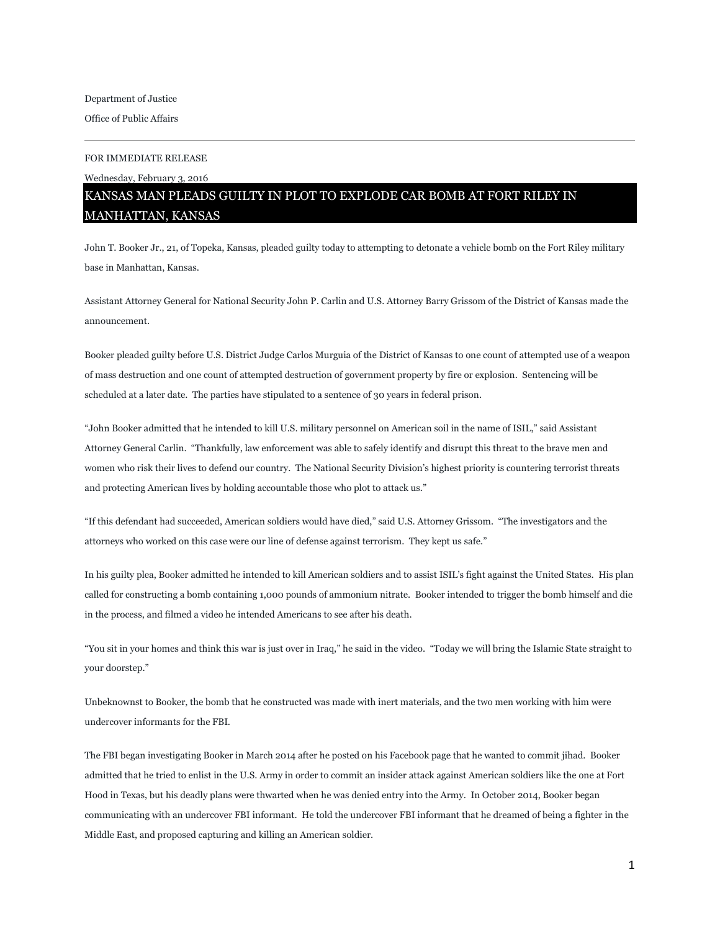## FOR IMMEDIATE RELEASE

Wednesday, February 3, 2016

## KANSAS MAN PLEADS GUILTY IN PLOT TO EXPLODE CAR BOMB AT FORT RILEY IN MANHATTAN, KANSAS

John T. Booker Jr., 21, of Topeka, Kansas, pleaded guilty today to attempting to detonate a vehicle bomb on the Fort Riley military base in Manhattan, Kansas.

Assistant Attorney General for National Security John P. Carlin and U.S. Attorney Barry Grissom of the District of Kansas made the announcement.

Booker pleaded guilty before U.S. District Judge Carlos Murguia of the District of Kansas to one count of attempted use of a weapon of mass destruction and one count of attempted destruction of government property by fire or explosion. Sentencing will be scheduled at a later date. The parties have stipulated to a sentence of 30 years in federal prison.

"John Booker admitted that he intended to kill U.S. military personnel on American soil in the name of ISIL," said Assistant Attorney General Carlin. "Thankfully, law enforcement was able to safely identify and disrupt this threat to the brave men and women who risk their lives to defend our country. The National Security Division's highest priority is countering terrorist threats and protecting American lives by holding accountable those who plot to attack us."

"If this defendant had succeeded, American soldiers would have died," said U.S. Attorney Grissom. "The investigators and the attorneys who worked on this case were our line of defense against terrorism. They kept us safe."

In his guilty plea, Booker admitted he intended to kill American soldiers and to assist ISIL's fight against the United States. His plan called for constructing a bomb containing 1,000 pounds of ammonium nitrate. Booker intended to trigger the bomb himself and die in the process, and filmed a video he intended Americans to see after his death.

"You sit in your homes and think this war is just over in Iraq," he said in the video. "Today we will bring the Islamic State straight to your doorstep."

Unbeknownst to Booker, the bomb that he constructed was made with inert materials, and the two men working with him were undercover informants for the FBI.

The FBI began investigating Booker in March 2014 after he posted on his Facebook page that he wanted to commit jihad. Booker admitted that he tried to enlist in the U.S. Army in order to commit an insider attack against American soldiers like the one at Fort Hood in Texas, but his deadly plans were thwarted when he was denied entry into the Army. In October 2014, Booker began communicating with an undercover FBI informant. He told the undercover FBI informant that he dreamed of being a fighter in the Middle East, and proposed capturing and killing an American soldier.